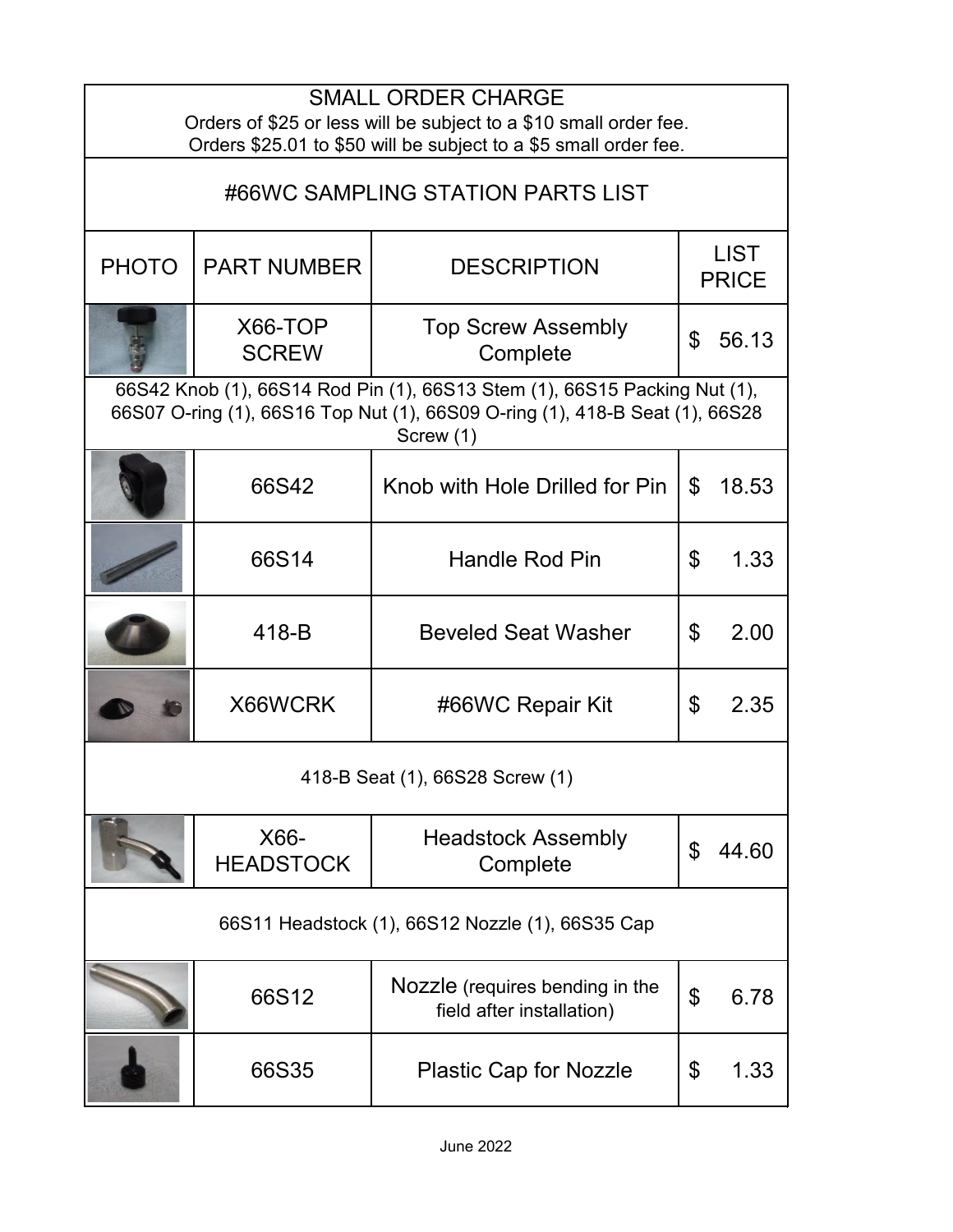| <b>SMALL ORDER CHARGE</b><br>Orders of \$25 or less will be subject to a \$10 small order fee.<br>Orders \$25.01 to \$50 will be subject to a \$5 small order fee.     |                          |                                                              |                             |       |  |  |  |
|------------------------------------------------------------------------------------------------------------------------------------------------------------------------|--------------------------|--------------------------------------------------------------|-----------------------------|-------|--|--|--|
| #66WC SAMPLING STATION PARTS LIST                                                                                                                                      |                          |                                                              |                             |       |  |  |  |
| <b>PHOTO</b>                                                                                                                                                           | <b>PART NUMBER</b>       | <b>DESCRIPTION</b>                                           | <b>LIST</b><br><b>PRICE</b> |       |  |  |  |
|                                                                                                                                                                        | X66-TOP<br><b>SCREW</b>  | <b>Top Screw Assembly</b><br>Complete                        | \$                          | 56.13 |  |  |  |
| 66S42 Knob (1), 66S14 Rod Pin (1), 66S13 Stem (1), 66S15 Packing Nut (1),<br>66S07 O-ring (1), 66S16 Top Nut (1), 66S09 O-ring (1), 418-B Seat (1), 66S28<br>Screw (1) |                          |                                                              |                             |       |  |  |  |
|                                                                                                                                                                        | 66S42                    | Knob with Hole Drilled for Pin                               | $\mathfrak{L}$              | 18.53 |  |  |  |
|                                                                                                                                                                        | 66S14                    | Handle Rod Pin                                               | \$                          | 1.33  |  |  |  |
|                                                                                                                                                                        | 418-B                    | <b>Beveled Seat Washer</b>                                   | \$                          | 2.00  |  |  |  |
|                                                                                                                                                                        | X66WCRK                  | #66WC Repair Kit                                             | \$                          | 2.35  |  |  |  |
| 418-B Seat (1), 66S28 Screw (1)                                                                                                                                        |                          |                                                              |                             |       |  |  |  |
|                                                                                                                                                                        | X66-<br><b>HEADSTOCK</b> | <b>Headstock Assembly</b><br>Complete                        | \$                          | 44.60 |  |  |  |
| 66S11 Headstock (1), 66S12 Nozzle (1), 66S35 Cap                                                                                                                       |                          |                                                              |                             |       |  |  |  |
|                                                                                                                                                                        | 66S12                    | Nozzle (requires bending in the<br>field after installation) | \$                          | 6.78  |  |  |  |
|                                                                                                                                                                        | 66S35                    | <b>Plastic Cap for Nozzle</b>                                | \$                          | 1.33  |  |  |  |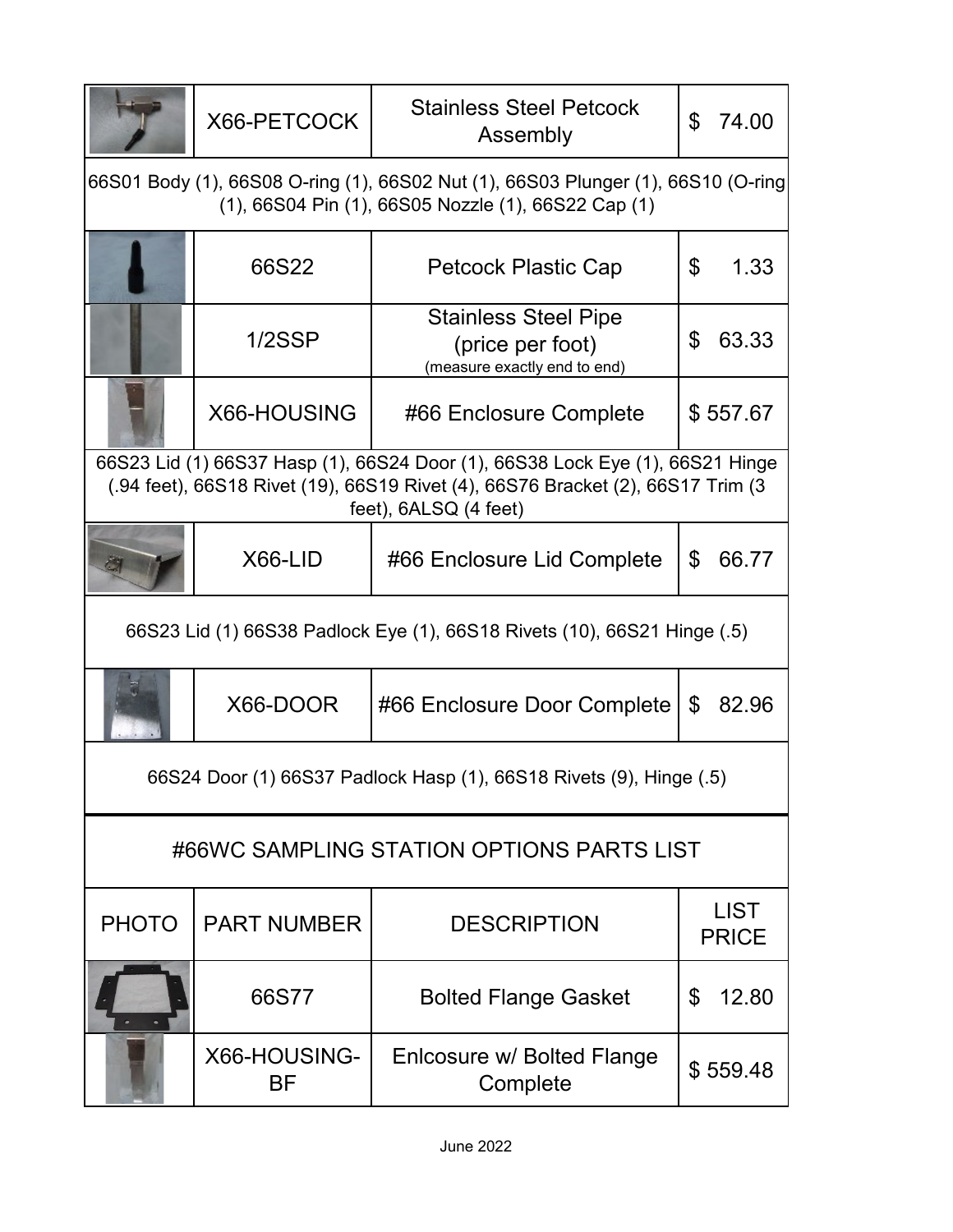|                                                                                                                                                                                           | X66-PETCOCK        | <b>Stainless Steel Petcock</b><br>Assembly                                      | \$ | 74.00                       |  |  |  |
|-------------------------------------------------------------------------------------------------------------------------------------------------------------------------------------------|--------------------|---------------------------------------------------------------------------------|----|-----------------------------|--|--|--|
| 66S01 Body (1), 66S08 O-ring (1), 66S02 Nut (1), 66S03 Plunger (1), 66S10 (O-ring<br>(1), 66S04 Pin (1), 66S05 Nozzle (1), 66S22 Cap (1)                                                  |                    |                                                                                 |    |                             |  |  |  |
|                                                                                                                                                                                           | 66S22              | <b>Petcock Plastic Cap</b>                                                      | \$ | 1.33                        |  |  |  |
|                                                                                                                                                                                           | 1/2SSP             | <b>Stainless Steel Pipe</b><br>(price per foot)<br>(measure exactly end to end) | \$ | 63.33                       |  |  |  |
|                                                                                                                                                                                           | X66-HOUSING        | #66 Enclosure Complete                                                          |    | \$557.67                    |  |  |  |
| 66S23 Lid (1) 66S37 Hasp (1), 66S24 Door (1), 66S38 Lock Eye (1), 66S21 Hinge<br>(.94 feet), 66S18 Rivet (19), 66S19 Rivet (4), 66S76 Bracket (2), 66S17 Trim (3<br>feet), 6ALSQ (4 feet) |                    |                                                                                 |    |                             |  |  |  |
|                                                                                                                                                                                           | X66-LID            | #66 Enclosure Lid Complete                                                      | \$ | 66.77                       |  |  |  |
| 66S23 Lid (1) 66S38 Padlock Eye (1), 66S18 Rivets (10), 66S21 Hinge (.5)                                                                                                                  |                    |                                                                                 |    |                             |  |  |  |
|                                                                                                                                                                                           | X66-DOOR           | #66 Enclosure Door Complete                                                     | \$ | 82.96                       |  |  |  |
| 66S24 Door (1) 66S37 Padlock Hasp (1), 66S18 Rivets (9), Hinge (.5)                                                                                                                       |                    |                                                                                 |    |                             |  |  |  |
| #66WC SAMPLING STATION OPTIONS PARTS LIST                                                                                                                                                 |                    |                                                                                 |    |                             |  |  |  |
| <b>PHOTO</b>                                                                                                                                                                              | <b>PART NUMBER</b> | <b>DESCRIPTION</b>                                                              |    | <b>LIST</b><br><b>PRICE</b> |  |  |  |
|                                                                                                                                                                                           | 66S77              | <b>Bolted Flange Gasket</b>                                                     | \$ | 12.80                       |  |  |  |
|                                                                                                                                                                                           | X66-HOUSING-<br>ΒF | Enlcosure w/ Bolted Flange<br>Complete                                          |    | \$559.48                    |  |  |  |